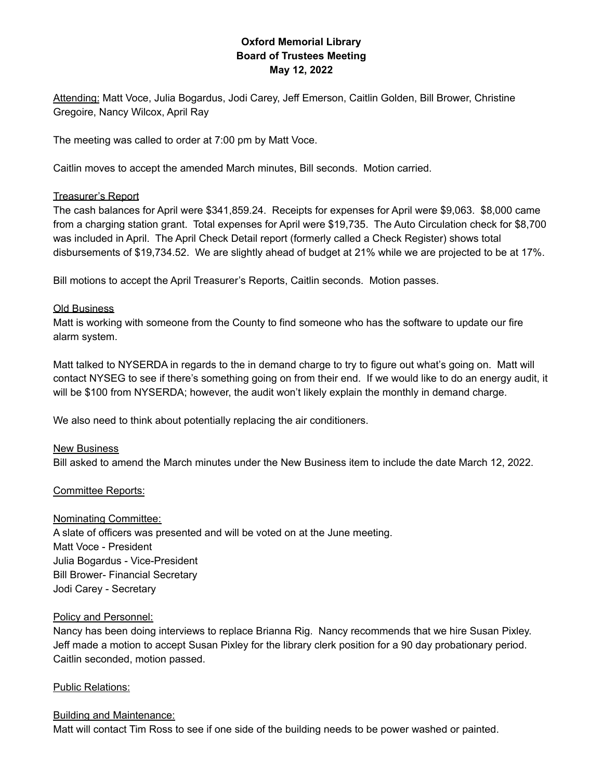# **Oxford Memorial Library Board of Trustees Meeting May 12, 2022**

Attending: Matt Voce, Julia Bogardus, Jodi Carey, Jeff Emerson, Caitlin Golden, Bill Brower, Christine Gregoire, Nancy Wilcox, April Ray

The meeting was called to order at 7:00 pm by Matt Voce.

Caitlin moves to accept the amended March minutes, Bill seconds. Motion carried.

#### Treasurer's Report

The cash balances for April were \$341,859.24. Receipts for expenses for April were \$9,063. \$8,000 came from a charging station grant. Total expenses for April were \$19,735. The Auto Circulation check for \$8,700 was included in April. The April Check Detail report (formerly called a Check Register) shows total disbursements of \$19,734.52. We are slightly ahead of budget at 21% while we are projected to be at 17%.

Bill motions to accept the April Treasurer's Reports, Caitlin seconds. Motion passes.

### Old Business

Matt is working with someone from the County to find someone who has the software to update our fire alarm system.

Matt talked to NYSERDA in regards to the in demand charge to try to figure out what's going on. Matt will contact NYSEG to see if there's something going on from their end. If we would like to do an energy audit, it will be \$100 from NYSERDA; however, the audit won't likely explain the monthly in demand charge.

We also need to think about potentially replacing the air conditioners.

#### New Business

Bill asked to amend the March minutes under the New Business item to include the date March 12, 2022.

### Committee Reports:

#### Nominating Committee:

A slate of officers was presented and will be voted on at the June meeting. Matt Voce - President Julia Bogardus - Vice-President Bill Brower- Financial Secretary Jodi Carey - Secretary

#### Policy and Personnel:

Nancy has been doing interviews to replace Brianna Rig. Nancy recommends that we hire Susan Pixley. Jeff made a motion to accept Susan Pixley for the library clerk position for a 90 day probationary period. Caitlin seconded, motion passed.

#### Public Relations:

#### Building and Maintenance:

Matt will contact Tim Ross to see if one side of the building needs to be power washed or painted.